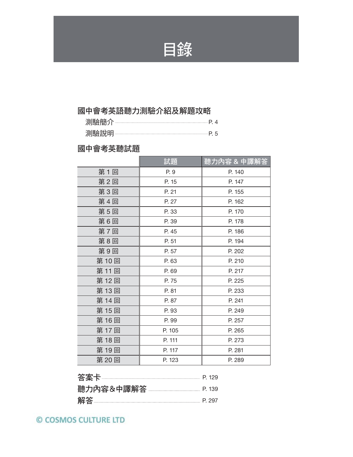

# 國中會考英語聽力測驗介紹及解題攻略

| ---------  | $\Delta$ |
|------------|----------|
| レト<br><br> |          |

## 國中會考英聽試題

|      | 試題     | <u>聽力內容 &amp; 中譯解</u> |
|------|--------|-----------------------|
| 第1回  | P. 9   | P. 140                |
| 第2回  | P. 15  | P. 147                |
| 第3回  | P. 21  | P. 155                |
| 第4回  | P. 27  | P. 162                |
| 第5回  | P. 33  | P. 170                |
| 第6回  | P. 39  | P. 178                |
| 第7回  | P. 45  | P. 186                |
| 第8回  | P. 51  | P. 194                |
| 第9回  | P. 57  | P. 202                |
| 第10回 | P. 63  | P. 210                |
| 第11回 | P. 69  | P. 217                |
| 第12回 | P. 75  | P. 225                |
| 第13回 | P. 81  | P. 233                |
| 第14回 | P. 87  | P. 241                |
| 第15回 | P. 93  | P. 249                |
| 第16回 | P. 99  | P. 257                |
| 第17回 | P. 105 | P. 265                |
| 第18回 | P. 111 | P. 273                |
| 第19回 | P. 117 | P. 281                |
| 第20回 | P. 123 | P. 289                |

| 答案卡        | <b>P</b> 129 |
|------------|--------------|
| 聽力內容&中譯解答. | <b>P</b> 139 |
| 解答         | $P$ 297      |

© COSMOS CULTURE LTD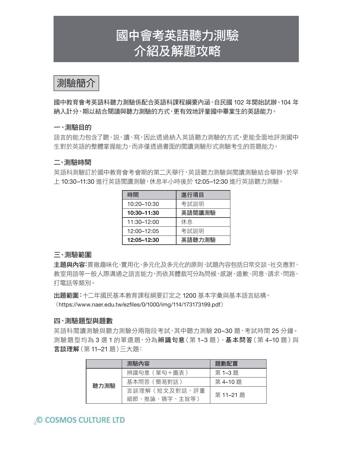# 國中會考英語聽力測驗 介紹及解題攻略

測驗簡介

國中教育會考英語科聽力測驗係配合英語科課程綱要內涵,自民國 102 年開始試辦、104 年 納入計分,期以結合閱讀與聽力測驗的方式,更有效地評量國中畢業生的英語能力。

#### 一、測驗目的

語言的能力包含了聽、說、讀、寫,因此透過納入英語聽力測驗的方式,更能全面地評測國中 生對於英語的整體掌握能力,而非僅透過書面的閱讀測驗形式測驗考生的答題能力。

#### 二、測驗時間

英語科測驗訂於國中教育會考會期的第二天舉行,英語聽力測驗與閱讀測驗結合舉辦,於早 上 10:30–11:30 進行英語閱讀測驗,休息半小時後於 12:05–12:30 進行英語聽力測驗。

| 時間          | 進行項目   |  |
|-------------|--------|--|
| 10:20-10:30 | 考試説明   |  |
| 10:30-11:30 | 英語閱讀測驗 |  |
| 11:30-12:00 | 休息     |  |
| 12:00-12:05 | 考試説明   |  |
| 12:05-12:30 | 英語聽力測驗 |  |

#### 三、測驗範圍

主題與內容:貫徹趣味化、實用化、多元化及多元化的原則,試題內容包括日常交談、社交應對、 教室用語等一般人際溝通之語言能力,而依其體裁可分為問候、感謝、道歉、同意、請求、問路、 打電話等類別。

出題範圍:十二年國民基本教育課程綱要訂定之 1200 基本字彙與基本語言結構。 (https://www.naer.edu.tw/ezfiles/0/1000/img/114/173173199.pdf)

#### 四、測驗題型與題數

英語科閱讀測驗與聽力測驗分兩階段考試,其中聽力測驗 20–30 題,考試時間 25 分鐘。 測驗題型均為3選1的單選題,分為**辨識句意**(第1-3題)、基本問答(第4-10題)與 言談理解(第 11–21 題)三大題:

|      | 測驗內容           | 題數配置     |
|------|----------------|----------|
| 聽力測驗 | 辨識句意 ( 單句+圖表 ) | 第1-3題    |
|      | 基本問答 (簡易對話)    | 第4-10題   |
|      | 言談理解(短文及對話,評量  | 第 11-21題 |
|      | 細節、推論、猜字、主旨等)  |          |

### **COSMOS CULTURE LTD**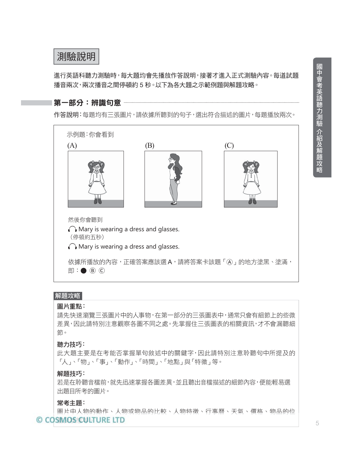測驗說明

進行英語科聽力測驗時,每大題均會先播放作答說明,接著才進入正式測驗內容。每道試題 播音兩次,兩次播音之間停頓約 5 秒。以下為各大題之示範例題與解題攻略。

#### 第一部分:辨識句意

作答說明:每題均有三張圖片,請依據所聽到的句子,選出符合描述的圖片,每題播放兩次。



#### 解題攻略

#### 圖片重點:

請先快速瀏覽三張圖片中的人事物,在第一部分的三張圖表中,通常只會有細節上的些微 差異,因此請特別注意觀察各圖不同之處。先掌握住三張圖表的相關資訊,才不會漏聽細 節。

#### 聽力技巧:

此大題主要是在考能否掌握單句敘述中的關鍵字,因此請特別注意聆聽句中所提及的 「人」、「物」、「事」、「動作」、「時間」、「地點」與「特徵」等。

#### 解題技巧:

若是在聆聽音檔前,就先迅速掌握各圖差異,並且聽出音檔描述的細節內容,便能輕易選 出題目所考的圖片。

#### 常考主題:

圖片中人物的動作、人物或物品的比較、人物特徵、行事曆、天氣、價格、物品的位 © COSMOS @ LTURE LTD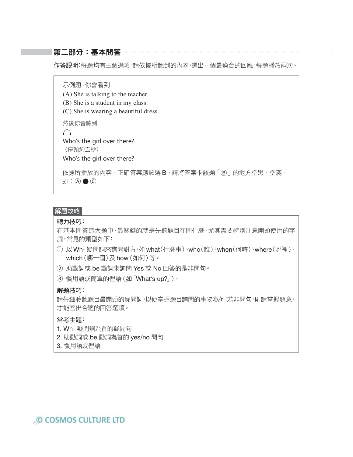#### 第二部分:基本問答

作答說明:每題均有三個選項,請依據所聽到的內容,選出一個最適合的回應,每題播放兩次。

示例題:你會看到

(A) She is talking to the teacher.

(B) She is a student in my class.

(C) She is wearing a beautiful dress.

然後你會聽到

 $\bigcap$ Who's the girl over there? (停頓約五秒)

Who's the girl over there?

依據所播放的內容,正確答案應該選 B,請將答案卡該題「B」的地方塗黑、塗滿,  $\Box$  : (A)  $\bigcirc$  (C)

#### 解題攻略

#### 聽力技巧:

在基本問答這大題中,最關鍵的就是先聽題目在問什麼,尤其需要特別注意開頭使用的字 詞,常見的類型如下:

- 以Wh- 疑問詞來詢問對方,如 what(什麼事)、who(誰)、when(何時)、where(哪裡)、 which(哪一個)及 how(如何)等。
- ② 助動詞或 be 動詞來詢問 Yes 或 No 回答的是非問句。
- 3 慣用語或簡單的俚語(如「What's up?」)。

#### 解題技巧:

請仔細聆聽題目最開頭的疑問詞,以便掌握題目詢問的事物為何;若非問句,則請掌握題意, 才能答出合適的回答選項。

#### 常考主題:

- 1. Wh- 疑問詞為首的疑問句
- 2. 助動詞或 be 動詞為首的 yes/no 問句
- 3. 慣用語或俚語

© COSMOS CULTURE LTD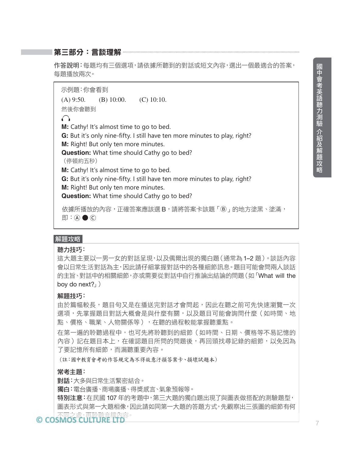#### 第三部分:言談理解

作答說明:每題均有三個選項,請依據所聽到的對話或短文內容,選出一個最適合的答案, 每題播放兩次。

示例題:你會看到 (A) 9:50. (B) 10:00. (C) 10:10. 然後你會聽到  $\bigcap$ **M:** Cathy! It's almost time to go to bed. **G:** But it's only nine-fifty. I still have ten more minutes to play, right? **M:** Right! But only ten more minutes. **Question:** What time should Cathy go to bed? (停頓約五秒) **M:** Cathy! It's almost time to go to bed. **G:** But it's only nine-fifty. I still have ten more minutes to play, right? **M:** Right! But only ten more minutes. **Question:** What time should Cathy go to bed? 依據所播放的內容,正確答案應該選 B,請將答案卡該題「B」的地方塗黑、塗滿,

 $\Box$  : (A)  $\bigcirc$  (C)

#### 解題攻略

#### 聽力技巧:

這大題主要以一男一女的對話呈現,以及偶爾出現的獨白題(通常為 1–2 題)。談話內容 會以日常生活對話為主,因此請仔細掌握對話中的各種細節訊息。題目可能會問兩人談話 的主旨、對話中的相關細節,亦或需要從對話中自行推論出結論的問題(如「What will the boy do next?」

#### 解題技巧:

由於篇幅較長,題目句又是在播送完對話才會問起,因此在聽之前可先快速瀏覽一次 選項,先掌握題目對話大概會是與什麼有關,以及題目可能會詢問什麼(如時間、地 點、價格、職業、人物關係等),在聽的過程較能掌握聽重點。

在第一遍的聆聽過程中,也可先將聆聽到的細節(如時間、日期、價格等不易記憶的 內容)記在題目本上,在確認題目所問的問題後,再回頭找尋記錄的細節,以免因為 了要記憶所有細節,而漏聽重要內容。

(註:國中教育會考的作答規定為不得故意汙損答案卡、損壞試題本)

#### 常考主題:

對話:大多與日常生活緊密結合。

獨白:電台廣播、商場廣播、得獎感言、氣象預報等。

特別注意:在民國 107 年的考題中,第三大題的獨白題出現了與圖表做搭配的測驗題型, 圖表形式與第一大題相像,因此請如同第一大題的答題方式,先觀察出三張圖的細節有何

## © COSMOS CUTTITIE THIS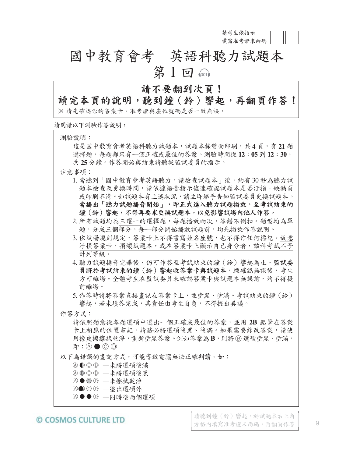**請考生依指示 填寫准考證末兩碼**

# 國中教育會考 英語科聽力試題本 第 $1 \boxdot$   $\textcircled{\tiny{1}}$

# 請不要翻到次頁!

# 讀完本頁的說明,聽到鐘(鈴)響起,再翻頁作答!

※ 請先確認你的答案卡、准考證與座位號碼是否一致無誤。

**請閱讀以下測驗作答說明:**

測驗說明:

這是國中教育會考英語科聽力試題本,試題本採雙面印刷,共4頁,有21題 選擇題,每題都只有一個正確或最佳的答案。測驗時間從 12:05到 12:30, 共25分鐘。作答開始與結束請聽從監試委員的指示。

注意事項:

- 1. 當聽到「國中教育會考英語聽力,請檢查試題本」後,約有 30 秒為聽力試 題本檢查及更換時間,請依據語音指示儘速確認試題本是否汙損、缺漏頁 或印刷不清。如試題本有上述狀況,請立即舉手告知監試委員更換試題本。 當播出「聽力試題播音開始」,即正式進入聽力試題播放,至考試結束的 鐘(鈴)響起,不得再要求更換試題本,以免影響試場內他人作答。
- 所有試題均為三選一的選擇題,每題播放兩次,答錯不倒扣。題型均為單 題,分成三個部分,每一部分開始播放試題前,均先播放作答說明。
- 3. 依試場規則規定, 答案卡上不得書寫姓名座號, 也不得作任何標記。故意 汗損答案卡、損壞試題本,或在答案卡上顯示自己身分者,該科考試不予 計列等級。
- 聽力試題播音完畢後,仍可作答至考試結束的鐘(鈴)響起為止。監試委 員將於考試結束的鐘(鈴)響起收答案卡與試題本,經確認無誤後,考生 方可離場。全體考生在監試委員未確認答案卡與試題本無誤前,均不得提 前離場。
- 5.作答時請將答案直接書記在答案卡上,並塗黑、塗滿。考試結束的鐘(鈴) 響起,若未填答完成,其責任由考生自負,不得提出異議。

#### 作答方式:

請依照題意從各題選項中選出一個正確或最佳的答案,並用 **%** 鉛筆在答案 卡上相應的位置畫記,請務必將選項塗黑、塗滿。如果需要修改答案,請使 用橡皮擦擦拭乾淨,重新塗黑答案。例如答案為B,則將*B選項塗黑、塗滿*,  $\mathbb{R}$  : (A)  $\bigcirc$  (C) (D)

以下為錯誤的畫記方式,可能導致電腦無法正確判讀。如:

- Ⓐ Ⓑ Ⓒ Ⓓ —未將選項塗滿
- Ⓐ Ⓑ Ⓒ Ⓓ —未將選項塗黑
- Ⓐ Ⓒ Ⓓ —未擦拭乾淨
- ④●ⓒ │─塗出選項外
- ④●● ◎ ─同時塗兩個選項

#### © COSMOS CULTURE LTD

請聽到鐘(鈴)響起,於試題本右上角 方格內填寫准考證末兩碼,再翻頁作答 | 9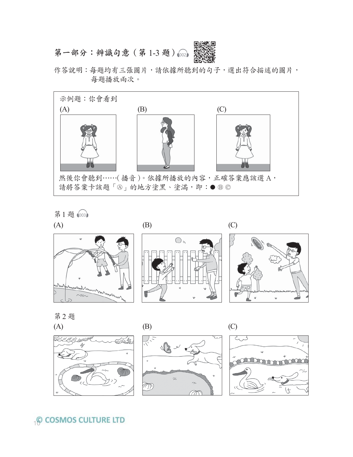

作答說明:每題均有三張圖片,請依據所聽到的句子,選出符合描述的圖片, 每題播放兩次。



第1題 1003



第2題

<u>ULLI MILLIN</u>I





**Q COSMOS CULTURE LTD**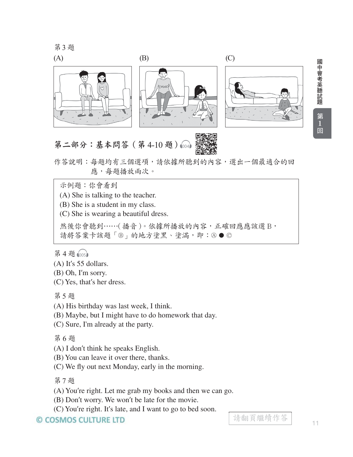第3題



國中會考英聽試題  $\overline{1}$ 

作答說明:每題均有三個選項,請依據所聽到的內容,選出一個最適合的回 應,每題播放兩次。

示例題:你會看到

(A) She is talking to the teacher.

(B) She is a student in my class.

(C) She is wearing a beautiful dress.

然後你會聽到……(播音)。依據所播放的內容,正確回應應該選 B, 請將答案卡該題「®」的地方塗黑、塗滿,即:⑧●©

第4題 1005

- (A) It's 55 dollars.
- (B) Oh, I'm sorry.
- (C) Yes, that's her dress.

第5題

(A) His birthday was last week, I think.

(B) Maybe, but I might have to do homework that day.

(C) Sure, I'm already at the party.

第6題

(A) I don't think he speaks English.

(B) You can leave it over there, thanks.

(C) We fly out next Monday, early in the morning.

第7題

(A) You're right. Let me grab my books and then we can go.

(B) Don't worry. We won't be late for the movie.

(C) You're right. It's late, and I want to go to bed soon.

© COSMOS CULTURE LTD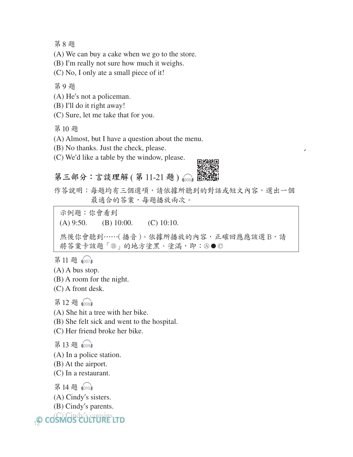第8題

(A) We can buy a cake when we go to the store.

(B) I'm really not sure how much it weighs.

(C) No, I only ate a small piece of it!

第9題

(A) He's not a policeman.

(B) I'll do it right away!

(C) Sure, let me take that for you.

第10题

(A) Almost, but I have a question about the menu.

(B) No thanks. Just the check, please.

(C) We'd like a table by the window, please.

第三部分:言談理解 (第 11-21 題 )  $\widehat{\hspace*{0.3mm}\text{0.06}}$ 



作答說明:每題均有三個選項,請依據所聽到的對話或短文內容,選出一個 最適合的答案,每題播放兩次。

 $(A)$  9:50. (B) 10:00. (C) 10:10. 然後你會聽到……(播音)。依據所播放的內容,正確回應應該選 B,請 將答案卡該題「®」的地方塗黑、塗滿,即: 4●© 示例題:你會看到

第11題 1007

(A) A bus stop.

(B) A room for the night.

(C) A front desk.

第12題 1008

(A) She hit a tree with her bike.

(B) She felt sick and went to the hospital.

(C) Her friend broke her bike.

第13題 1009

(A) In a police station.

(B) At the airport.

(C) In a restaurant.

第14題 1010

(A) Cindy's sisters.

(B) Cindy's parents.

12 Go Cindy's cousins.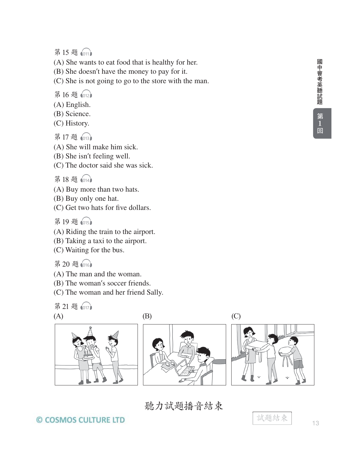第15题 1011

(A) She wants to eat food that is healthy for her.

(B) She doesn't have the money to pay for it.

(C) She is not going to go to the store with the man.

- 第16题 1012
- (A) English.
- (B) Science.
- (C) History.
- 第17題 1013
- (A) She will make him sick.
- (B) She isn't feeling well.
- (C) The doctor said she was sick.

第18題 1014

- (A) Buy more than two hats.
- (B) Buy only one hat.
- (C) Get two hats for five dollars.

第19題 1015

- (A) Riding the train to the airport.
- (B) Taking a taxi to the airport.
- (C) Waiting for the bus.

第20题1016

- (A) The man and the woman.
- (B) The woman's soccer friends.
- (C) The woman and her friend Sally.

$$
\begin{array}{c}\n\text{A} \\
\text{B} \\
\hline\n\end{array}
$$

# 聽力試題播音結束

© COSMOS CULTURE LTD



試題結束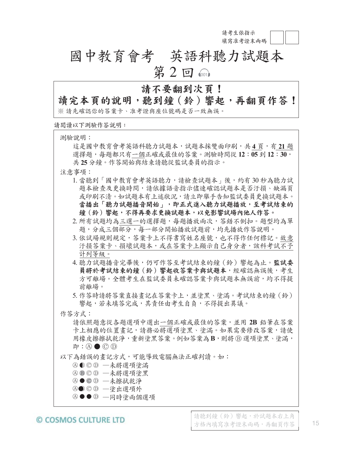**請考生依指示 填寫准考證末兩碼**

# 國中教育會考 英語科聽力試題本 第 $2 \boxdot$

# 請不要翻到次頁!

# 讀完本頁的說明,聽到鐘(鈴)響起,再翻頁作答!

※ 請先確認你的答案卡、准考證與座位號碼是否一致無誤。

**請閱讀以下測驗作答說明:**

測驗說明:

這是國中教育會考英語科聽力試題本,試題本採雙面印刷,共4頁,有21題 選擇題,每題都只有一個正確或最佳的答案。測驗時間從 12:05到 12:30, 共25分鐘。作答開始與結束請聽從監試委員的指示。

注意事項:

- 1. 當聽到「國中教育會考英語聽力,請檢查試題本」後,約有 30 秒為聽力試 題本檢查及更換時間,請依據語音指示儘速確認試題本是否汙損、缺漏頁 或印刷不清。如試題本有上述狀況,請立即舉手告知監試委員更換試題本。 當播出「聽力試題播音開始」,即正式進入聽力試題播放,至考試結束的 鐘(鈴)響起,不得再要求更換試題本,以免影響試場內他人作答。
- 所有試題均為三選一的選擇題,每題播放兩次,答錯不倒扣。題型均為單 題,分成三個部分,每一部分開始播放試題前,均先播放作答說明。
- 3. 依試場規則規定, 答案卡上不得書寫姓名座號, 也不得作任何標記。故意 汗損答案卡、損壞試題本,或在答案卡上顯示自己身分者,該科考試不予 計列等級。
- 聽力試題播音完畢後,仍可作答至考試結束的鐘(鈴)響起為止。監試委 員將於考試結束的鐘(鈴)響起收答案卡與試題本,經確認無誤後,考生 方可離場。全體考生在監試委員未確認答案卡與試題本無誤前,均不得提 前離場。
- 5.作答時請將答案直接書記在答案卡上,並塗黑、塗滿。考試結束的鐘(鈴) 響起,若未填答完成,其責任由考生自負,不得提出異議。

#### 作答方式:

請依照題意從各題選項中選出一個正確或最佳的答案,並用 **%** 鉛筆在答案 卡上相應的位置畫記,請務必將選項塗黑、塗滿。如果需要修改答案,請使 用橡皮擦擦拭乾淨,重新塗黑答案。例如答案為B,則將*B選項塗黑、塗滿*,  $\mathbb{R}$  : (A)  $\bigcirc$  (C) (D)

以下為錯誤的畫記方式,可能導致電腦無法正確判讀。如:

- Ⓐ Ⓑ Ⓒ Ⓓ —未將選項塗滿
- Ⓐ Ⓑ Ⓒ Ⓓ —未將選項塗黑
- Ⓐ Ⓒ Ⓓ —未擦拭乾淨
- ④●ⓒ │─塗出選項外
- ④●● ◎ ─同時塗兩個選項

#### © COSMOS CULTURE LTD

請聽到鐘(鈴)響起,於試題本右上角 方格內填寫准考證末兩碼,再翻頁作答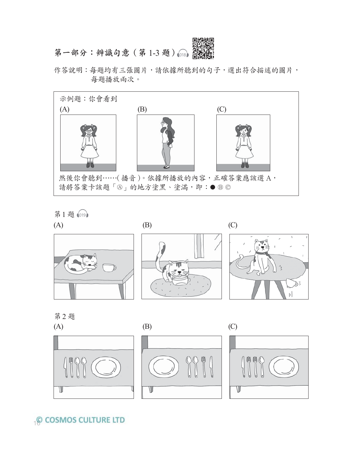

作答說明:每題均有三張圖片,請依據所聽到的句子,選出符合描述的圖片, 每題播放兩次。



第1題 @19



第2題

V





# **Q COSMOS CULTURE LTD**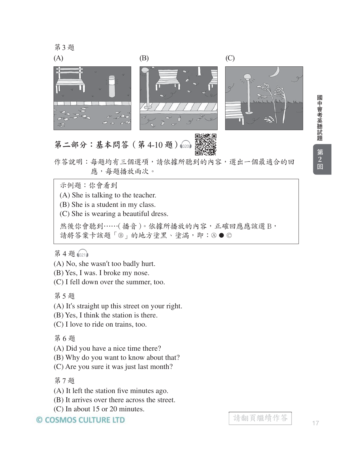

# 第二部分:基本問答(第 4-10 題)  $(A)$  (B) (C)

作答說明:每題均有三個選項,請依據所聽到的內容,選出一個最適合的回 應,每題播放兩次。

示例題:你會看到

(A) She is talking to the teacher.

(B) She is a student in my class.

(C) She is wearing a beautiful dress.

然後你會聽到……(播音)。依據所播放的內容,正確回應應該選 B, 請將答案卡該題「®」的地方塗黑、塗滿,即:⑧●©

第4題1021

- (A) No, she wasn't too badly hurt.
- (B) Yes, I was. I broke my nose.

(C) I fell down over the summer, too.

第5題

(A) It's straight up this street on your right.

(B) Yes, I think the station is there.

(C) I love to ride on trains, too.

第6題

(A) Did you have a nice time there?

(B) Why do you want to know about that?

(C) Are you sure it was just last month?

第7題

(A) It left the station five minutes ago.

(B) It arrives over there across the street.

(C) In about 15 or 20 minutes.

© COSMOS CULTURE LTD

國中會考英聽試題 1中會考英聽誌題 【第2 叵】  $\frac{2}{2}$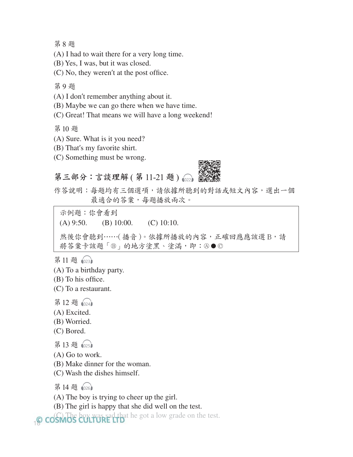第8題

(A) I had to wait there for a very long time.

(B) Yes, I was, but it was closed.

(C) No, they weren't at the post office.

第9題

(A) I don't remember anything about it.

(B) Maybe we can go there when we have time.

(C) Great! That means we will have a long weekend!

第10题

- (A) Sure. What is it you need?
- (B) That's my favorite shirt.
- (C) Something must be wrong.

第三部分:言談理解 (第 11-21 題 )  $_{@22}$ 



作答說明:每題均有三個選項,請依據所聽到的對話或短文內容,選出一個 最適合的答案,每題播放兩次。

 $(A)$  9:50. (B) 10:00. (C) 10:10. 然後你會聽到……(播音)。依據所播放的內容,正確回應應該選 B,請 將答案卡該題「®」的地方塗黑、塗滿,即:4●© 示例題:你會看到

第11題 1023

(A) To a birthday party.

(B) To his office.

(C) To a restaurant.

第12題 1024

(A) Excited.

- (B) Worried.
- (C) Bored.
- 第13題 1025
- (A) Go to work.
- (B) Make dinner for the woman.
- (C) Wash the dishes himself.

第14题 1026

(A) The boy is trying to cheer up the girl.

(B) The girl is happy that she did well on the test.

18 (C). The boy was sad that he got a low grade on the test.